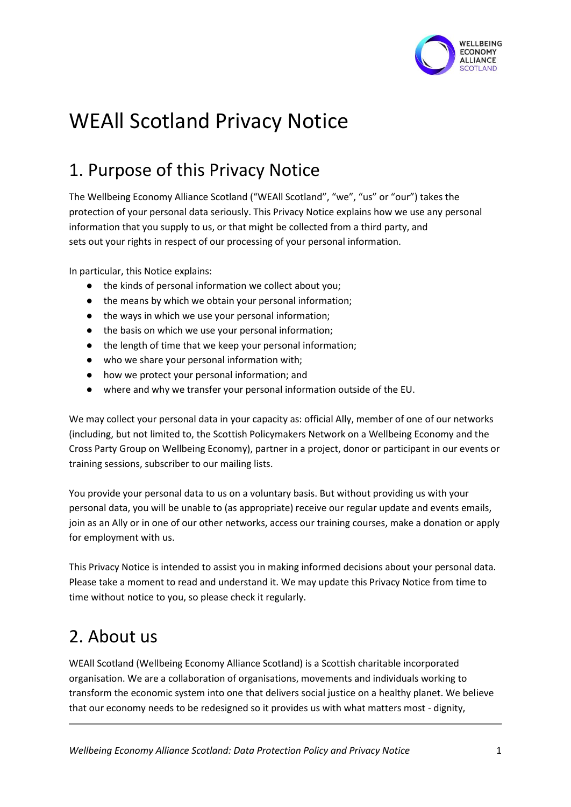

# WEAll Scotland Privacy Notice

# 1. Purpose of this Privacy Notice

The Wellbeing Economy Alliance Scotland ("WEAll Scotland", "we", "us" or "our") takes the protection of your personal data seriously. This Privacy Notice explains how we use any personal information that you supply to us, or that might be collected from a third party, and sets out your rights in respect of our processing of your personal information.

In particular, this Notice explains:

- the kinds of personal information we collect about you;
- the means by which we obtain your personal information;
- the ways in which we use your personal information;
- the basis on which we use your personal information;
- the length of time that we keep your personal information;
- who we share your personal information with;
- how we protect your personal information; and
- where and why we transfer your personal information outside of the EU.

We may collect your personal data in your capacity as: official Ally, member of one of our networks (including, but not limited to, the Scottish Policymakers Network on a Wellbeing Economy and the Cross Party Group on Wellbeing Economy), partner in a project, donor or participant in our events or training sessions, subscriber to our mailing lists.

You provide your personal data to us on a voluntary basis. But without providing us with your personal data, you will be unable to (as appropriate) receive our regular update and events emails, join as an Ally or in one of our other networks, access our training courses, make a donation or apply for employment with us.

This Privacy Notice is intended to assist you in making informed decisions about your personal data. Please take a moment to read and understand it. We may update this Privacy Notice from time to time without notice to you, so please check it regularly.

# 2. About us

WEAll Scotland (Wellbeing Economy Alliance Scotland) is a Scottish charitable incorporated organisation. We are a collaboration of organisations, movements and individuals working to transform the economic system into one that delivers social justice on a healthy planet. We believe that our economy needs to be redesigned so it provides us with what matters most - dignity,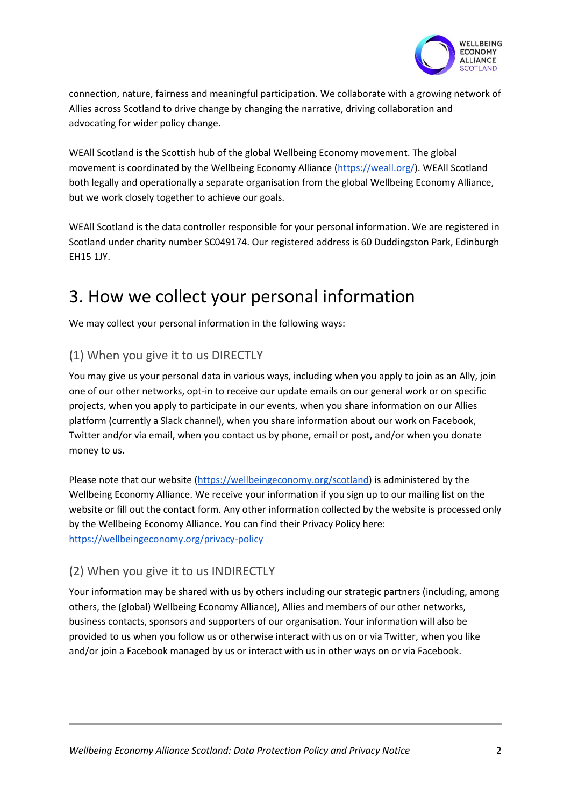

connection, nature, fairness and meaningful participation. We collaborate with a growing network of Allies across Scotland to drive change by changing the narrative, driving collaboration and advocating for wider policy change.

WEAll Scotland is the Scottish hub of the global Wellbeing Economy movement. The global movement is coordinated by the Wellbeing Economy Alliance [\(https://weall.org/\)](https://weall.org/). WEAll Scotland both legally and operationally a separate organisation from the global Wellbeing Economy Alliance, but we work closely together to achieve our goals.

WEAll Scotland is the data controller responsible for your personal information. We are registered in Scotland under charity number SC049174. Our registered address is 60 Duddingston Park, Edinburgh EH15 1JY.

# 3. How we collect your personal information

We may collect your personal information in the following ways:

#### (1) When you give it to us DIRECTLY

You may give us your personal data in various ways, including when you apply to join as an Ally, join one of our other networks, opt-in to receive our update emails on our general work or on specific projects, when you apply to participate in our events, when you share information on our Allies platform (currently a Slack channel), when you share information about our work on Facebook, Twitter and/or via email, when you contact us by phone, email or post, and/or when you donate money to us.

Please note that our website [\(https://wellbeingeconomy.org/scotland\)](https://wellbeingeconomy.org/scotland) is administered by the Wellbeing Economy Alliance. We receive your information if you sign up to our mailing list on the website or fill out the contact form. Any other information collected by the website is processed only by the Wellbeing Economy Alliance. You can find their Privacy Policy here: <https://wellbeingeconomy.org/privacy-policy>

#### (2) When you give it to us INDIRECTLY

Your information may be shared with us by others including our strategic partners (including, among others, the (global) Wellbeing Economy Alliance), Allies and members of our other networks, business contacts, sponsors and supporters of our organisation. Your information will also be provided to us when you follow us or otherwise interact with us on or via Twitter, when you like and/or join a Facebook managed by us or interact with us in other ways on or via Facebook.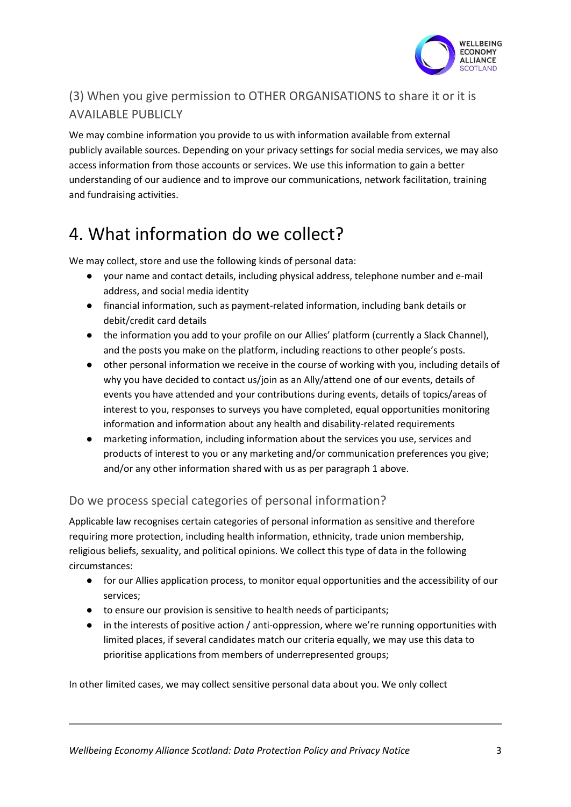

### (3) When you give permission to OTHER ORGANISATIONS to share it or it is AVAILABLE PUBLICLY

We may combine information you provide to us with information available from external publicly available sources. Depending on your privacy settings for social media services, we may also access information from those accounts or services. We use this information to gain a better understanding of our audience and to improve our communications, network facilitation, training and fundraising activities.

# 4. What information do we collect?

We may collect, store and use the following kinds of personal data:

- your name and contact details, including physical address, telephone number and e-mail address, and social media identity
- financial information, such as payment-related information, including bank details or debit/credit card details
- the information you add to your profile on our Allies' platform (currently a Slack Channel), and the posts you make on the platform, including reactions to other people's posts.
- other personal information we receive in the course of working with you, including details of why you have decided to contact us/join as an Ally/attend one of our events, details of events you have attended and your contributions during events, details of topics/areas of interest to you, responses to surveys you have completed, equal opportunities monitoring information and information about any health and disability-related requirements
- marketing information, including information about the services you use, services and products of interest to you or any marketing and/or communication preferences you give; and/or any other information shared with us as per paragraph 1 above.

#### Do we process special categories of personal information?

Applicable law recognises certain categories of personal information as sensitive and therefore requiring more protection, including health information, ethnicity, trade union membership, religious beliefs, sexuality, and political opinions. We collect this type of data in the following circumstances:

- for our Allies application process, to monitor equal opportunities and the accessibility of our services;
- to ensure our provision is sensitive to health needs of participants;
- in the interests of positive action / anti-oppression, where we're running opportunities with limited places, if several candidates match our criteria equally, we may use this data to prioritise applications from members of underrepresented groups;

In other limited cases, we may collect sensitive personal data about you. We only collect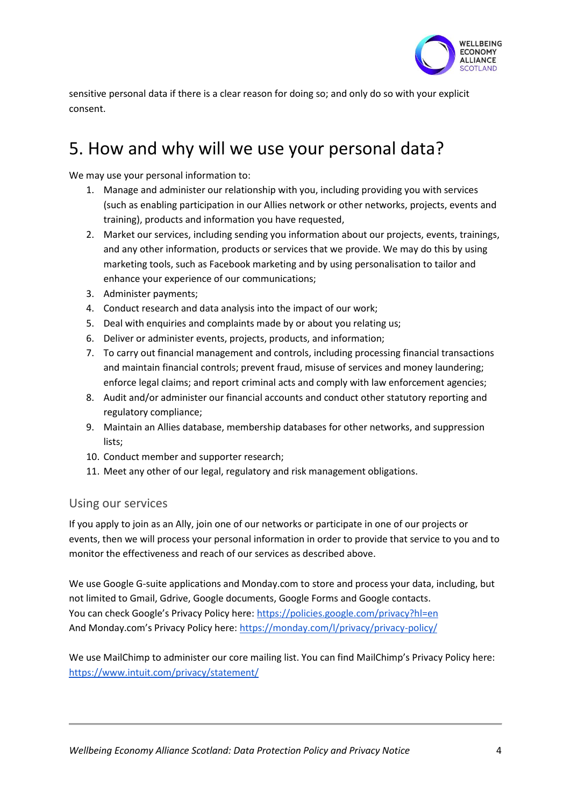

sensitive personal data if there is a clear reason for doing so; and only do so with your explicit consent.

# 5. How and why will we use your personal data?

We may use your personal information to:

- 1. Manage and administer our relationship with you, including providing you with services (such as enabling participation in our Allies network or other networks, projects, events and training), products and information you have requested,
- 2. Market our services, including sending you information about our projects, events, trainings, and any other information, products or services that we provide. We may do this by using marketing tools, such as Facebook marketing and by using personalisation to tailor and enhance your experience of our communications;
- 3. Administer payments;
- 4. Conduct research and data analysis into the impact of our work;
- 5. Deal with enquiries and complaints made by or about you relating us;
- 6. Deliver or administer events, projects, products, and information;
- 7. To carry out financial management and controls, including processing financial transactions and maintain financial controls; prevent fraud, misuse of services and money laundering; enforce legal claims; and report criminal acts and comply with law enforcement agencies;
- 8. Audit and/or administer our financial accounts and conduct other statutory reporting and regulatory compliance;
- 9. Maintain an Allies database, membership databases for other networks, and suppression lists;
- 10. Conduct member and supporter research;
- 11. Meet any other of our legal, regulatory and risk management obligations.

#### Using our services

If you apply to join as an Ally, join one of our networks or participate in one of our projects or events, then we will process your personal information in order to provide that service to you and to monitor the effectiveness and reach of our services as described above.

We use Google G-suite applications and Monday.com to store and process your data, including, but not limited to Gmail, Gdrive, Google documents, Google Forms and Google contacts. You can check Google's Privacy Policy here: <https://policies.google.com/privacy?hl=en> And Monday.com's Privacy Policy here: <https://monday.com/l/privacy/privacy-policy/>

We use MailChimp to administer our core mailing list. You can find MailChimp's Privacy Policy here: <https://www.intuit.com/privacy/statement/>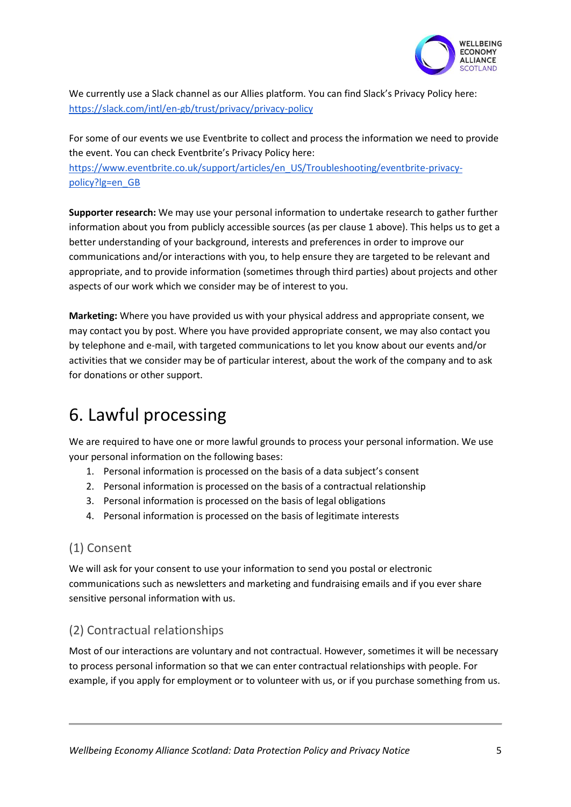

We currently use a Slack channel as our Allies platform. You can find Slack's Privacy Policy here: <https://slack.com/intl/en-gb/trust/privacy/privacy-policy>

For some of our events we use Eventbrite to collect and process the information we need to provide the event. You can check Eventbrite's Privacy Policy here: [https://www.eventbrite.co.uk/support/articles/en\\_US/Troubleshooting/eventbrite-privacy](https://www.eventbrite.co.uk/support/articles/en_US/Troubleshooting/eventbrite-privacy-policy?lg=en_GB)[policy?lg=en\\_GB](https://www.eventbrite.co.uk/support/articles/en_US/Troubleshooting/eventbrite-privacy-policy?lg=en_GB)

**Supporter research:** We may use your personal information to undertake research to gather further information about you from publicly accessible sources (as per clause 1 above). This helps us to get a better understanding of your background, interests and preferences in order to improve our communications and/or interactions with you, to help ensure they are targeted to be relevant and appropriate, and to provide information (sometimes through third parties) about projects and other aspects of our work which we consider may be of interest to you.

**Marketing:** Where you have provided us with your physical address and appropriate consent, we may contact you by post. Where you have provided appropriate consent, we may also contact you by telephone and e-mail, with targeted communications to let you know about our events and/or activities that we consider may be of particular interest, about the work of the company and to ask for donations or other support.

# 6. Lawful processing

We are required to have one or more lawful grounds to process your personal information. We use your personal information on the following bases:

- 1. Personal information is processed on the basis of a data subject's consent
- 2. Personal information is processed on the basis of a contractual relationship
- 3. Personal information is processed on the basis of legal obligations
- 4. Personal information is processed on the basis of legitimate interests

#### (1) Consent

We will ask for your consent to use your information to send you postal or electronic communications such as newsletters and marketing and fundraising emails and if you ever share sensitive personal information with us.

#### (2) Contractual relationships

Most of our interactions are voluntary and not contractual. However, sometimes it will be necessary to process personal information so that we can enter contractual relationships with people. For example, if you apply for employment or to volunteer with us, or if you purchase something from us.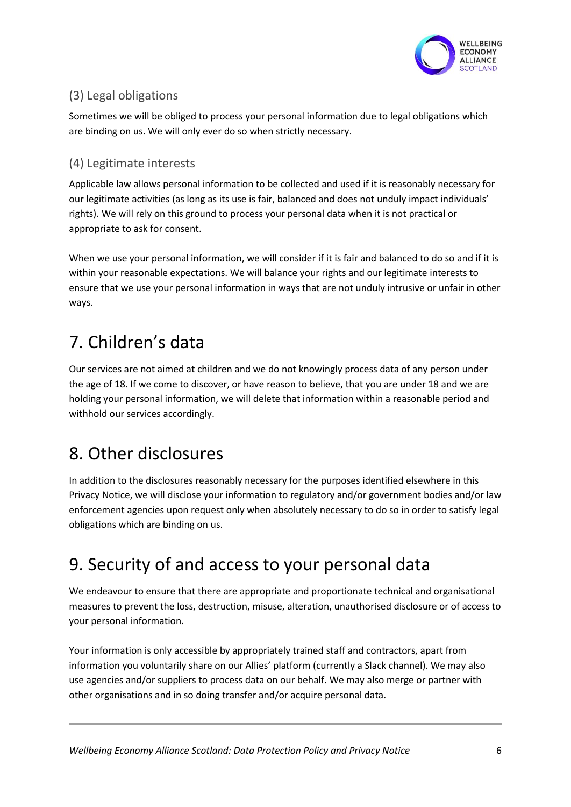

### (3) Legal obligations

Sometimes we will be obliged to process your personal information due to legal obligations which are binding on us. We will only ever do so when strictly necessary.

#### (4) Legitimate interests

Applicable law allows personal information to be collected and used if it is reasonably necessary for our legitimate activities (as long as its use is fair, balanced and does not unduly impact individuals' rights). We will rely on this ground to process your personal data when it is not practical or appropriate to ask for consent.

When we use your personal information, we will consider if it is fair and balanced to do so and if it is within your reasonable expectations. We will balance your rights and our legitimate interests to ensure that we use your personal information in ways that are not unduly intrusive or unfair in other ways.

# 7. Children's data

Our services are not aimed at children and we do not knowingly process data of any person under the age of 18. If we come to discover, or have reason to believe, that you are under 18 and we are holding your personal information, we will delete that information within a reasonable period and withhold our services accordingly.

# 8. Other disclosures

In addition to the disclosures reasonably necessary for the purposes identified elsewhere in this Privacy Notice, we will disclose your information to regulatory and/or government bodies and/or law enforcement agencies upon request only when absolutely necessary to do so in order to satisfy legal obligations which are binding on us.

# 9. Security of and access to your personal data

We endeavour to ensure that there are appropriate and proportionate technical and organisational measures to prevent the loss, destruction, misuse, alteration, unauthorised disclosure or of access to your personal information.

Your information is only accessible by appropriately trained staff and contractors, apart from information you voluntarily share on our Allies' platform (currently a Slack channel). We may also use agencies and/or suppliers to process data on our behalf. We may also merge or partner with other organisations and in so doing transfer and/or acquire personal data.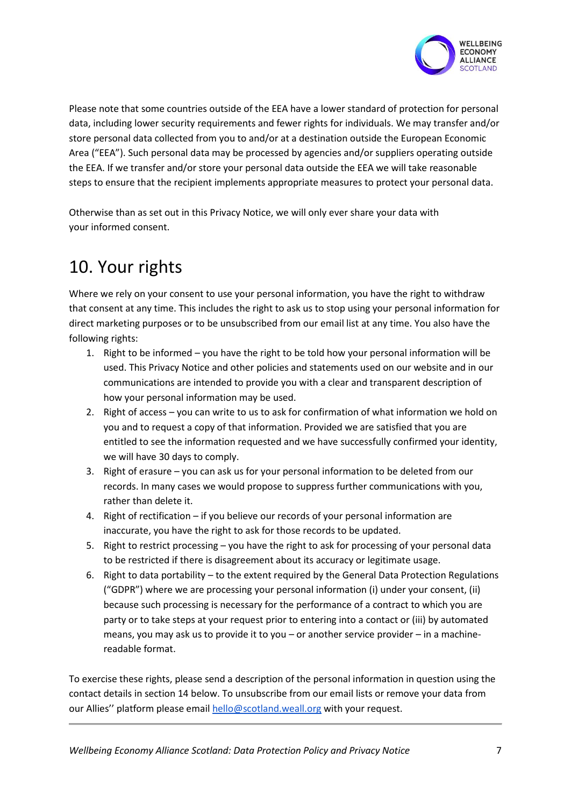

Please note that some countries outside of the EEA have a lower standard of protection for personal data, including lower security requirements and fewer rights for individuals. We may transfer and/or store personal data collected from you to and/or at a destination outside the European Economic Area ("EEA"). Such personal data may be processed by agencies and/or suppliers operating outside the EEA. If we transfer and/or store your personal data outside the EEA we will take reasonable steps to ensure that the recipient implements appropriate measures to protect your personal data.

Otherwise than as set out in this Privacy Notice, we will only ever share your data with your informed consent.

# 10. Your rights

Where we rely on your consent to use your personal information, you have the right to withdraw that consent at any time. This includes the right to ask us to stop using your personal information for direct marketing purposes or to be unsubscribed from our email list at any time. You also have the following rights:

- 1. Right to be informed you have the right to be told how your personal information will be used. This Privacy Notice and other policies and statements used on our website and in our communications are intended to provide you with a clear and transparent description of how your personal information may be used.
- 2. Right of access you can write to us to ask for confirmation of what information we hold on you and to request a copy of that information. Provided we are satisfied that you are entitled to see the information requested and we have successfully confirmed your identity, we will have 30 days to comply.
- 3. Right of erasure you can ask us for your personal information to be deleted from our records. In many cases we would propose to suppress further communications with you, rather than delete it.
- 4. Right of rectification if you believe our records of your personal information are inaccurate, you have the right to ask for those records to be updated.
- 5. Right to restrict processing you have the right to ask for processing of your personal data to be restricted if there is disagreement about its accuracy or legitimate usage.
- 6. Right to data portability to the extent required by the General Data Protection Regulations ("GDPR") where we are processing your personal information (i) under your consent, (ii) because such processing is necessary for the performance of a contract to which you are party or to take steps at your request prior to entering into a contact or (iii) by automated means, you may ask us to provide it to you – or another service provider – in a machinereadable format.

To exercise these rights, please send a description of the personal information in question using the contact details in section 14 below. To unsubscribe from our email lists or remove your data from our Allies'' platform please email [hello@scotland.weall.org](mailto:hello@scotland.weall.org) with your request.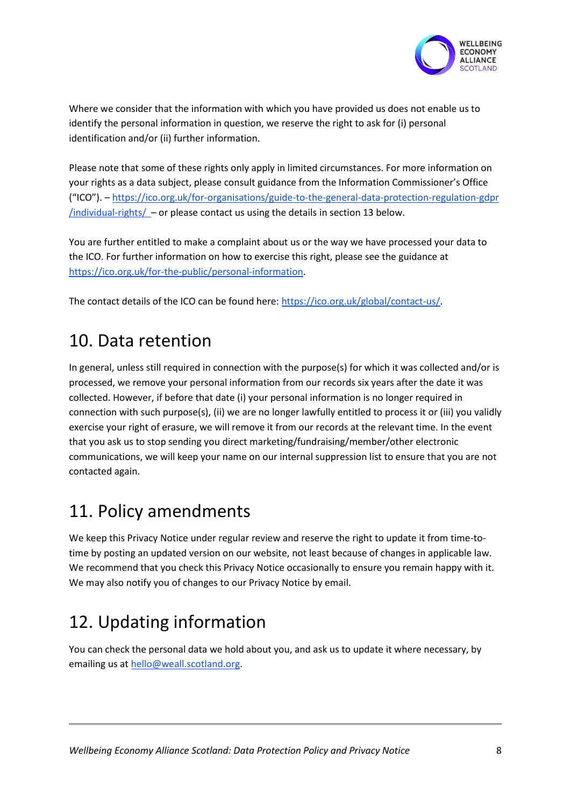

Where we consider that the information with which you have provided us does not enable us to identify the personal information in question, we reserve the right to ask for (i) personal identification and/or (ii) further information.

Please note that some of these rights only apply in limited circumstances. For more information on your rights as a data subject, please consult guidance from the Information Commissioner's Office ("ICO"). – <https://ico.org.uk/for-organisations/guide-to-the-general-data-protection-regulation-gdpr>  $/$ individual-rights $/ -$  or please contact us using the details in section 13 below.

You are further entitled to make a complaint about us or the way we have processed your data to the ICO. For further information on how to exercise this right, please see the guidance at [https://ico.org.uk/for-the-public/personal-information.](https://ico.org.uk/for-the-public/personal-information)

The contact details of the ICO can be found here[: https://ico.org.uk/global/contact-us/.](https://ico.org.uk/global/contact-us/)

### 10. Data retention

In general, unless still required in connection with the purpose(s) for which it was collected and/or is processed, we remove your personal information from our records six years after the date it was collected. However, if before that date (i) your personal information is no longer required in connection with such purpose(s), (ii) we are no longer lawfully entitled to process it or (iii) you validly exercise your right of erasure, we will remove it from our records at the relevant time. In the event that you ask us to stop sending you direct marketing/fundraising/member/other electronic communications, we will keep your name on our internal suppression list to ensure that you are not contacted again.

### 11. Policy amendments

We keep this Privacy Notice under regular review and reserve the right to update it from time-totime by posting an updated version on our website, not least because of changes in applicable law. We recommend that you check this Privacy Notice occasionally to ensure you remain happy with it. We may also notify you of changes to our Privacy Notice by email.

# 12. Updating information

You can check the personal data we hold about you, and ask us to update it where necessary, by emailing us a[t hello@weall.scotland.org.](mailto:hello@weall.scotland.org)